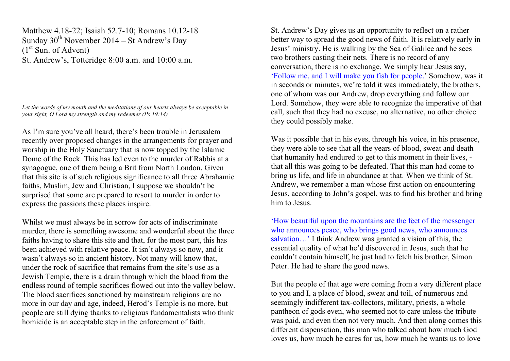Matthew 4.18-22; Isaiah 52.7-10; Romans 10.12-18 Sunday  $30<sup>th</sup>$  November 2014 – St Andrew's Day  $(1<sup>st</sup> Sun. of Advent)$ St. Andrew's, Totteridge 8:00 a.m. and 10:00 a.m.

*Let the words of my mouth and the meditations of our hearts always be acceptable in your sight, O Lord my strength and my redeemer (Ps 19:14)*

As I'm sure you've all heard, there's been trouble in Jerusalem recently over proposed changes in the arrangements for prayer and worship in the Holy Sanctuary that is now topped by the Islamic Dome of the Rock. This has led even to the murder of Rabbis at a synagogue, one of them being a Brit from North London. Given that this site is of such religious significance to all three Abrahamic faiths, Muslim, Jew and Christian, I suppose we shouldn't be surprised that some are prepared to resort to murder in order to express the passions these places inspire.

Whilst we must always be in sorrow for acts of indiscriminate murder, there is something awesome and wonderful about the three faiths having to share this site and that, for the most part, this has been achieved with relative peace. It isn't always so now, and it wasn't always so in ancient history. Not many will know that, under the rock of sacrifice that remains from the site's use as a Jewish Temple, there is a drain through which the blood from the endless round of temple sacrifices flowed out into the valley below. The blood sacrifices sanctioned by mainstream religions are no more in our day and age, indeed, Herod's Temple is no more, but people are still dying thanks to religious fundamentalists who think homicide is an acceptable step in the enforcement of faith.

St. Andrew's Day gives us an opportunity to reflect on a rather better way to spread the good news of faith. It is relatively early in Jesus' ministry. He is walking by the Sea of Galilee and he sees two brothers casting their nets. There is no record of any conversation, there is no exchange. We simply hear Jesus say, 'Follow me, and I will make you fish for people.' Somehow, was it in seconds or minutes, we're told it was immediately, the brothers, one of whom was our Andrew, drop everything and follow our Lord. Somehow, they were able to recognize the imperative of that call, such that they had no excuse, no alternative, no other choice they could possibly make.

Was it possible that in his eyes, through his voice, in his presence, they were able to see that all the years of blood, sweat and death that humanity had endured to get to this moment in their lives, that all this was going to be defeated. That this man had come to bring us life, and life in abundance at that. When we think of St. Andrew, we remember a man whose first action on encountering Jesus, according to John's gospel, was to find his brother and bring him to Jesus.

'How beautiful upon the mountains are the feet of the messenger who announces peace, who brings good news, who announces salvation…' I think Andrew was granted a vision of this, the essential quality of what he'd discovered in Jesus, such that he couldn't contain himself, he just had to fetch his brother, Simon Peter. He had to share the good news.

But the people of that age were coming from a very different place to you and I, a place of blood, sweat and toil, of numerous and seemingly indifferent tax-collectors, military, priests, a whole pantheon of gods even, who seemed not to care unless the tribute was paid, and even then not very much. And then along comes this different dispensation, this man who talked about how much God loves us, how much he cares for us, how much he wants us to love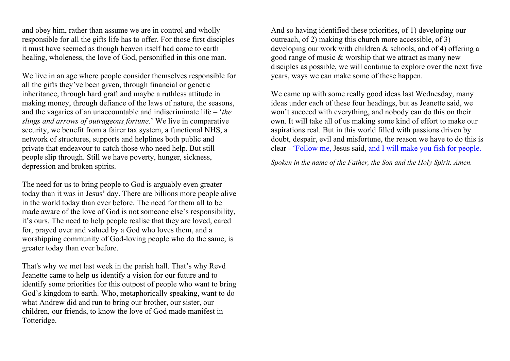and obey him, rather than assume we are in control and wholly responsible for all the gifts life has to offer. For those first disciples it must have seemed as though heaven itself had come to earth – healing, wholeness, the love of God, personified in this one man.

We live in an age where people consider themselves responsible for all the gifts they've been given, through financial or genetic inheritance, through hard graft and maybe a ruthless attitude in making money, through defiance of the laws of nature, the seasons, and the vagaries of an unaccountable and indiscriminate life – '*the slings and arrows of outrageous fortune*.' We live in comparative security, we benefit from a fairer tax system, a functional NHS, a network of structures, supports and helplines both public and private that endeavour to catch those who need help. But still people slip through. Still we have poverty, hunger, sickness, depression and broken spirits.

The need for us to bring people to God is arguably even greater today than it was in Jesus' day. There are billions more people alive in the world today than ever before. The need for them all to be made aware of the love of God is not someone else's responsibility, it's ours. The need to help people realise that they are loved, cared for, prayed over and valued by a God who loves them, and a worshipping community of God-loving people who do the same, is greater today than ever before.

That's why we met last week in the parish hall. That's why Revd Jeanette came to help us identify a vision for our future and to identify some priorities for this outpost of people who want to bring God's kingdom to earth. Who, metaphorically speaking, want to do what Andrew did and run to bring our brother, our sister, our children, our friends, to know the love of God made manifest in Totteridge.

And so having identified these priorities, of 1) developing our outreach, of 2) making this church more accessible, of 3) developing our work with children & schools, and of 4) offering a good range of music & worship that we attract as many new disciples as possible, we will continue to explore over the next five years, ways we can make some of these happen.

We came up with some really good ideas last Wednesday, many ideas under each of these four headings, but as Jeanette said, we won't succeed with everything, and nobody can do this on their own. It will take all of us making some kind of effort to make our aspirations real. But in this world filled with passions driven by doubt, despair, evil and misfortune, the reason we have to do this is clear - 'Follow me, Jesus said, and I will make you fish for people.

*Spoken in the name of the Father, the Son and the Holy Spirit. Amen.*